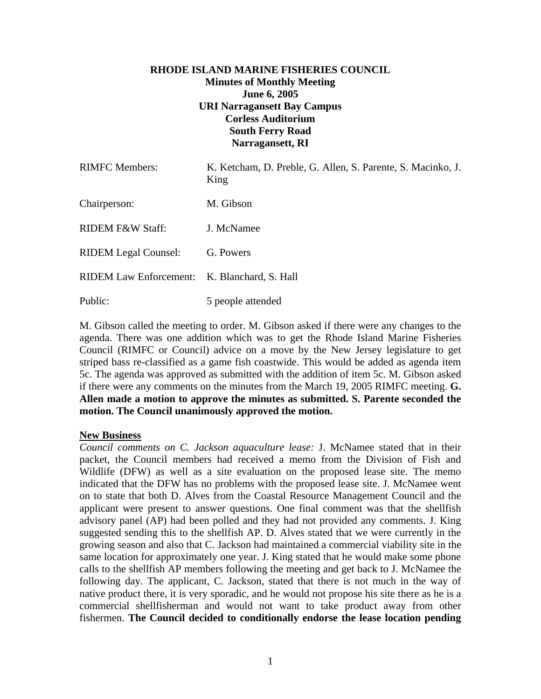# **RHODE ISLAND MARINE FISHERIES COUNCIL Minutes of Monthly Meeting June 6, 2005 URI Narragansett Bay Campus Corless Auditorium South Ferry Road Narragansett, RI**

| <b>RIMFC Members:</b>         | K. Ketcham, D. Preble, G. Allen, S. Parente, S. Macinko, J.<br>King |
|-------------------------------|---------------------------------------------------------------------|
| Chairperson:                  | M. Gibson                                                           |
| RIDEM F&W Staff:              | J. McNamee                                                          |
| <b>RIDEM Legal Counsel:</b>   | G. Powers                                                           |
| <b>RIDEM Law Enforcement:</b> | K. Blanchard, S. Hall                                               |
| Public:                       | 5 people attended                                                   |

M. Gibson called the meeting to order. M. Gibson asked if there were any changes to the agenda. There was one addition which was to get the Rhode Island Marine Fisheries Council (RIMFC or Council) advice on a move by the New Jersey legislature to get striped bass re-classified as a game fish coastwide. This would be added as agenda item 5c. The agenda was approved as submitted with the addition of item 5c. M. Gibson asked if there were any comments on the minutes from the March 19, 2005 RIMFC meeting. **G. Allen made a motion to approve the minutes as submitted. S. Parente seconded the motion. The Council unanimously approved the motion.** 

### **New Business**

*Council comments on C. Jackson aquaculture lease:* J. McNamee stated that in their packet, the Council members had received a memo from the Division of Fish and Wildlife (DFW) as well as a site evaluation on the proposed lease site. The memo indicated that the DFW has no problems with the proposed lease site. J. McNamee went on to state that both D. Alves from the Coastal Resource Management Council and the applicant were present to answer questions. One final comment was that the shellfish advisory panel (AP) had been polled and they had not provided any comments. J. King suggested sending this to the shellfish AP. D. Alves stated that we were currently in the growing season and also that C. Jackson had maintained a commercial viability site in the same location for approximately one year. J. King stated that he would make some phone calls to the shellfish AP members following the meeting and get back to J. McNamee the following day. The applicant, C. Jackson, stated that there is not much in the way of native product there, it is very sporadic, and he would not propose his site there as he is a commercial shellfisherman and would not want to take product away from other fishermen. **The Council decided to conditionally endorse the lease location pending**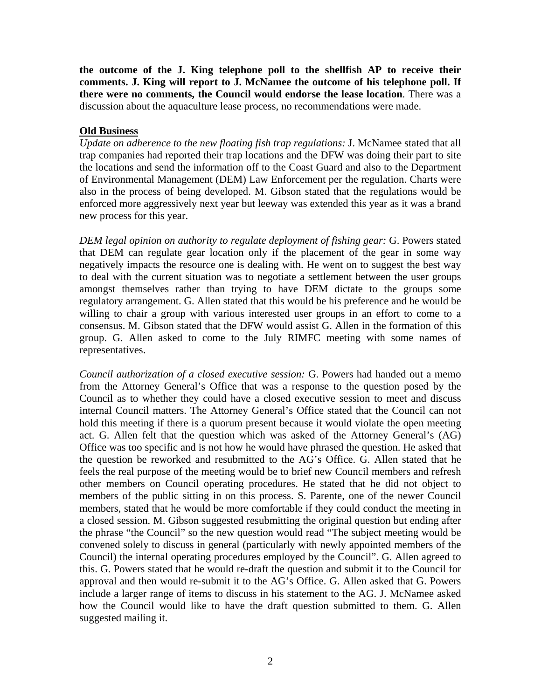**the outcome of the J. King telephone poll to the shellfish AP to receive their comments. J. King will report to J. McNamee the outcome of his telephone poll. If there were no comments, the Council would endorse the lease location**. There was a discussion about the aquaculture lease process, no recommendations were made.

### **Old Business**

*Update on adherence to the new floating fish trap regulations:* J. McNamee stated that all trap companies had reported their trap locations and the DFW was doing their part to site the locations and send the information off to the Coast Guard and also to the Department of Environmental Management (DEM) Law Enforcement per the regulation. Charts were also in the process of being developed. M. Gibson stated that the regulations would be enforced more aggressively next year but leeway was extended this year as it was a brand new process for this year.

*DEM legal opinion on authority to regulate deployment of fishing gear:* G. Powers stated that DEM can regulate gear location only if the placement of the gear in some way negatively impacts the resource one is dealing with. He went on to suggest the best way to deal with the current situation was to negotiate a settlement between the user groups amongst themselves rather than trying to have DEM dictate to the groups some regulatory arrangement. G. Allen stated that this would be his preference and he would be willing to chair a group with various interested user groups in an effort to come to a consensus. M. Gibson stated that the DFW would assist G. Allen in the formation of this group. G. Allen asked to come to the July RIMFC meeting with some names of representatives.

*Council authorization of a closed executive session:* G. Powers had handed out a memo from the Attorney General's Office that was a response to the question posed by the Council as to whether they could have a closed executive session to meet and discuss internal Council matters. The Attorney General's Office stated that the Council can not hold this meeting if there is a quorum present because it would violate the open meeting act. G. Allen felt that the question which was asked of the Attorney General's (AG) Office was too specific and is not how he would have phrased the question. He asked that the question be reworked and resubmitted to the AG's Office. G. Allen stated that he feels the real purpose of the meeting would be to brief new Council members and refresh other members on Council operating procedures. He stated that he did not object to members of the public sitting in on this process. S. Parente, one of the newer Council members, stated that he would be more comfortable if they could conduct the meeting in a closed session. M. Gibson suggested resubmitting the original question but ending after the phrase "the Council" so the new question would read "The subject meeting would be convened solely to discuss in general (particularly with newly appointed members of the Council) the internal operating procedures employed by the Council". G. Allen agreed to this. G. Powers stated that he would re-draft the question and submit it to the Council for approval and then would re-submit it to the AG's Office. G. Allen asked that G. Powers include a larger range of items to discuss in his statement to the AG. J. McNamee asked how the Council would like to have the draft question submitted to them. G. Allen suggested mailing it.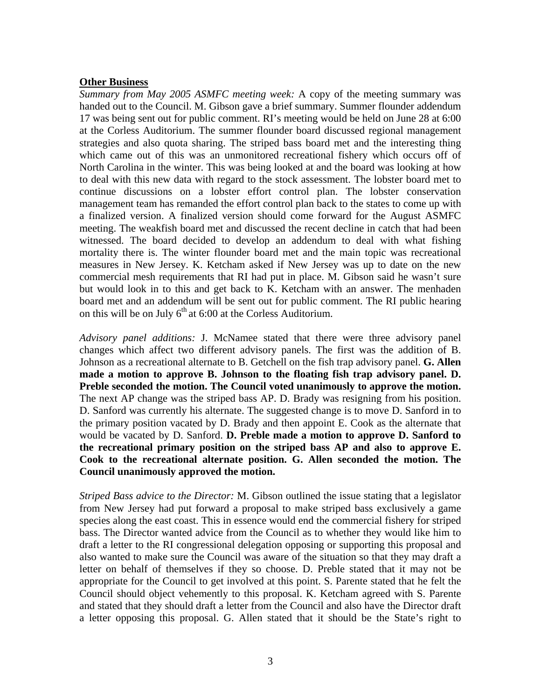### **Other Business**

*Summary from May 2005 ASMFC meeting week:* A copy of the meeting summary was handed out to the Council. M. Gibson gave a brief summary. Summer flounder addendum 17 was being sent out for public comment. RI's meeting would be held on June 28 at 6:00 at the Corless Auditorium. The summer flounder board discussed regional management strategies and also quota sharing. The striped bass board met and the interesting thing which came out of this was an unmonitored recreational fishery which occurs off of North Carolina in the winter. This was being looked at and the board was looking at how to deal with this new data with regard to the stock assessment. The lobster board met to continue discussions on a lobster effort control plan. The lobster conservation management team has remanded the effort control plan back to the states to come up with a finalized version. A finalized version should come forward for the August ASMFC meeting. The weakfish board met and discussed the recent decline in catch that had been witnessed. The board decided to develop an addendum to deal with what fishing mortality there is. The winter flounder board met and the main topic was recreational measures in New Jersey. K. Ketcham asked if New Jersey was up to date on the new commercial mesh requirements that RI had put in place. M. Gibson said he wasn't sure but would look in to this and get back to K. Ketcham with an answer. The menhaden board met and an addendum will be sent out for public comment. The RI public hearing on this will be on July  $6<sup>th</sup>$  at 6:00 at the Corless Auditorium.

*Advisory panel additions:* J. McNamee stated that there were three advisory panel changes which affect two different advisory panels. The first was the addition of B. Johnson as a recreational alternate to B. Getchell on the fish trap advisory panel. **G. Allen made a motion to approve B. Johnson to the floating fish trap advisory panel. D. Preble seconded the motion. The Council voted unanimously to approve the motion.**  The next AP change was the striped bass AP. D. Brady was resigning from his position. D. Sanford was currently his alternate. The suggested change is to move D. Sanford in to the primary position vacated by D. Brady and then appoint E. Cook as the alternate that would be vacated by D. Sanford. **D. Preble made a motion to approve D. Sanford to the recreational primary position on the striped bass AP and also to approve E. Cook to the recreational alternate position. G. Allen seconded the motion. The Council unanimously approved the motion.** 

*Striped Bass advice to the Director:* M. Gibson outlined the issue stating that a legislator from New Jersey had put forward a proposal to make striped bass exclusively a game species along the east coast. This in essence would end the commercial fishery for striped bass. The Director wanted advice from the Council as to whether they would like him to draft a letter to the RI congressional delegation opposing or supporting this proposal and also wanted to make sure the Council was aware of the situation so that they may draft a letter on behalf of themselves if they so choose. D. Preble stated that it may not be appropriate for the Council to get involved at this point. S. Parente stated that he felt the Council should object vehemently to this proposal. K. Ketcham agreed with S. Parente and stated that they should draft a letter from the Council and also have the Director draft a letter opposing this proposal. G. Allen stated that it should be the State's right to